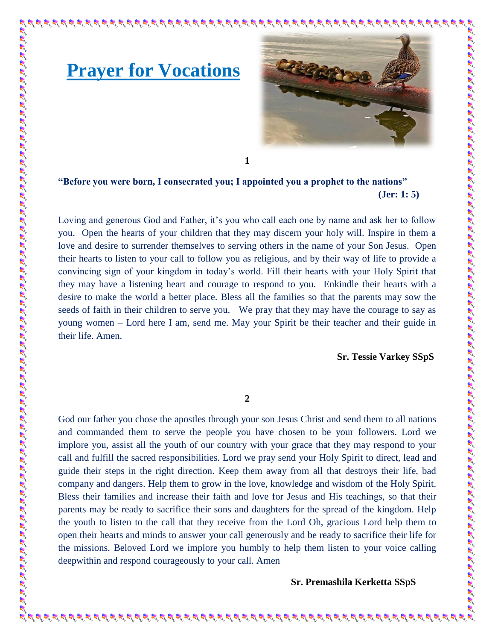

**1**

## **"Before you were born, I consecrated you; I appointed you a prophet to the nations" (Jer: 1: 5)**

**Prayer for Vocations**

地名英格兰地名美国英国英国 地名美国英国英国美国美国英国英国英国英国英国英国英国英国英国英国英国英国英国美国美国美国美国美国美国美国英国英国英国英国

Loving and generous God and Father, it's you who call each one by name and ask her to follow you. Open the hearts of your children that they may discern your holy will. Inspire in them a love and desire to surrender themselves to serving others in the name of your Son Jesus. Open their hearts to listen to your call to follow you as religious, and by their way of life to provide a convincing sign of your kingdom in today's world. Fill their hearts with your Holy Spirit that they may have a listening heart and courage to respond to you. Enkindle their hearts with a desire to make the world a better place. Bless all the families so that the parents may sow the seeds of faith in their children to serve you. We pray that they may have the courage to say as young women – Lord here I am, send me. May your Spirit be their teacher and their guide in their life. Amen.

## **Sr. Tessie Varkey SSpS**

**2**

God our father you chose the apostles through your son Jesus Christ and send them to all nations and commanded them to serve the people you have chosen to be your followers. Lord we implore you, assist all the youth of our country with your grace that they may respond to your call and fulfill the sacred responsibilities. Lord we pray send your Holy Spirit to direct, lead and guide their steps in the right direction. Keep them away from all that destroys their life, bad company and dangers. Help them to grow in the love, knowledge and wisdom of the Holy Spirit. Bless their families and increase their faith and love for Jesus and His teachings, so that their parents may be ready to sacrifice their sons and daughters for the spread of the kingdom. Help the youth to listen to the call that they receive from the Lord Oh, gracious Lord help them to open their hearts and minds to answer your call generously and be ready to sacrifice their life for the missions. Beloved Lord we implore you humbly to help them listen to your voice calling deepwithin and respond courageously to your call. Amen

**Sr. Premashila Kerketta SSpS**